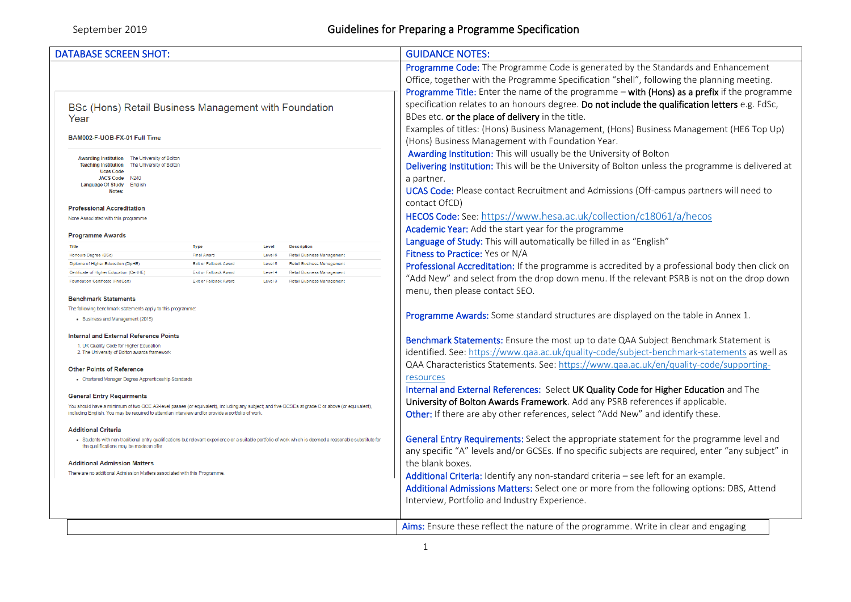| <b>DATABASE SCREEN SHOT:</b>                                                                                                                                                                                                                                                                                                                                                                                                                                                                                                                                                                                                                                                                                                                                                                                                                                                                                                                                                                                                                                                                                                                                         | <b>GUIDANCE NOTES:</b>                                                                                                                                                                                                                                                                                                                                                                                                                                                                                                                                                                                                                                                                                                                                                                                                                                                                                           |  |
|----------------------------------------------------------------------------------------------------------------------------------------------------------------------------------------------------------------------------------------------------------------------------------------------------------------------------------------------------------------------------------------------------------------------------------------------------------------------------------------------------------------------------------------------------------------------------------------------------------------------------------------------------------------------------------------------------------------------------------------------------------------------------------------------------------------------------------------------------------------------------------------------------------------------------------------------------------------------------------------------------------------------------------------------------------------------------------------------------------------------------------------------------------------------|------------------------------------------------------------------------------------------------------------------------------------------------------------------------------------------------------------------------------------------------------------------------------------------------------------------------------------------------------------------------------------------------------------------------------------------------------------------------------------------------------------------------------------------------------------------------------------------------------------------------------------------------------------------------------------------------------------------------------------------------------------------------------------------------------------------------------------------------------------------------------------------------------------------|--|
|                                                                                                                                                                                                                                                                                                                                                                                                                                                                                                                                                                                                                                                                                                                                                                                                                                                                                                                                                                                                                                                                                                                                                                      | Programme Code: The Programme Code is generated by the Standards and Enhancement<br>Office, together with the Programme Specification "shell", following the planning meeting.                                                                                                                                                                                                                                                                                                                                                                                                                                                                                                                                                                                                                                                                                                                                   |  |
| BSc (Hons) Retail Business Management with Foundation<br>Year<br>BAM002-F-UOB-FX-01 Full Time                                                                                                                                                                                                                                                                                                                                                                                                                                                                                                                                                                                                                                                                                                                                                                                                                                                                                                                                                                                                                                                                        | Programme Title: Enter the name of the programme - with (Hons) as a prefix if the programme<br>specification relates to an honours degree. Do not include the qualification letters e.g. FdSc,<br>BDes etc. or the place of delivery in the title.<br>Examples of titles: (Hons) Business Management, (Hons) Business Management (HE6 Top Up)<br>(Hons) Business Management with Foundation Year.                                                                                                                                                                                                                                                                                                                                                                                                                                                                                                                |  |
| Awarding Institution The University of Bolton<br>Teaching Institution The University of Bolton<br><b>Ucas Code</b><br>JACS Code N240<br>Language Of Study English<br>Notes:<br><b>Professional Accreditation</b><br>None Associated with this programme                                                                                                                                                                                                                                                                                                                                                                                                                                                                                                                                                                                                                                                                                                                                                                                                                                                                                                              | Awarding Institution: This will usually be the University of Bolton<br>Delivering Institution: This will be the University of Bolton unless the programme is delivered at<br>a partner.<br>UCAS Code: Please contact Recruitment and Admissions (Off-campus partners will need to<br>contact OfCD)<br>HECOS Code: See: https://www.hesa.ac.uk/collection/c18061/a/hecos                                                                                                                                                                                                                                                                                                                                                                                                                                                                                                                                          |  |
| <b>Programme Awards</b>                                                                                                                                                                                                                                                                                                                                                                                                                                                                                                                                                                                                                                                                                                                                                                                                                                                                                                                                                                                                                                                                                                                                              | Academic Year: Add the start year for the programme<br>Language of Study: This will automatically be filled in as "English"                                                                                                                                                                                                                                                                                                                                                                                                                                                                                                                                                                                                                                                                                                                                                                                      |  |
| Title<br><b>Type</b><br>Level<br><b>Description</b><br>Final Award<br>Honours Degree (BSc)<br>Level 6<br><b>Retail Business Management</b><br>Diploma of Higher Education (DipHE)<br>Exit or Fallback Award<br>Level 5<br><b>Retail Business Management</b><br>Certificate of Higher Education (CertHE)<br>Exit or Fallback Award<br><b>Retail Business Management</b><br>Level 4<br>Foundation Certificate (FndCert)<br>Exit or Fallback Award<br>Level 3<br><b>Retail Business Management</b><br><b>Benchmark Statements</b><br>The following benchmark statements apply to this programme:<br>• Business and Management (2015)<br><b>Internal and External Reference Points</b><br>1. UK Quality Code for Higher Education<br>2. The University of Bolton awards framework<br><b>Other Points of Reference</b><br>• Chartered Manager Degree Apprenticeship Standards<br><b>General Entry Requirments</b><br>You should have a minimum of two GCE A2-level passes (or equivalent), including any subject; and five GCSEs at grade C or above (or equivalent),<br>including English. You may be required to attend an interview and/or provide a portfolio of work | Fitness to Practice: Yes or N/A<br>Professional Accreditation: If the programme is accredited by a professional body then click on<br>"Add New" and select from the drop down menu. If the relevant PSRB is not on the drop down<br>menu, then please contact SEO.<br>Programme Awards: Some standard structures are displayed on the table in Annex 1.<br>Benchmark Statements: Ensure the most up to date QAA Subject Benchmark Statement is<br>identified. See: https://www.qaa.ac.uk/quality-code/subject-benchmark-statements as well as<br>QAA Characteristics Statements. See: https://www.qaa.ac.uk/en/quality-code/supporting-<br>resources<br>Internal and External References: Select UK Quality Code for Higher Education and The<br>University of Bolton Awards Framework. Add any PSRB references if applicable.<br>Other: If there are aby other references, select "Add New" and identify these. |  |
| <b>Additional Criteria</b><br>. Students with non-traditional entry qualifications but relevant experience or a suitable portfolio of work which is deemed a reasonable substitute for<br>the qualifications may be made an offer.<br><b>Additional Admission Matters</b><br>There are no additional Admission Matters associated with this Programme                                                                                                                                                                                                                                                                                                                                                                                                                                                                                                                                                                                                                                                                                                                                                                                                                | General Entry Requirements: Select the appropriate statement for the programme level and<br>any specific "A" levels and/or GCSEs. If no specific subjects are required, enter "any subject" in<br>the blank boxes.<br>Additional Criteria: Identify any non-standard criteria - see left for an example.<br>Additional Admissions Matters: Select one or more from the following options: DBS, Attend<br>Interview, Portfolio and Industry Experience.                                                                                                                                                                                                                                                                                                                                                                                                                                                           |  |
|                                                                                                                                                                                                                                                                                                                                                                                                                                                                                                                                                                                                                                                                                                                                                                                                                                                                                                                                                                                                                                                                                                                                                                      | Aims: Ensure these reflect the nature of the programme. Write in clear and engaging                                                                                                                                                                                                                                                                                                                                                                                                                                                                                                                                                                                                                                                                                                                                                                                                                              |  |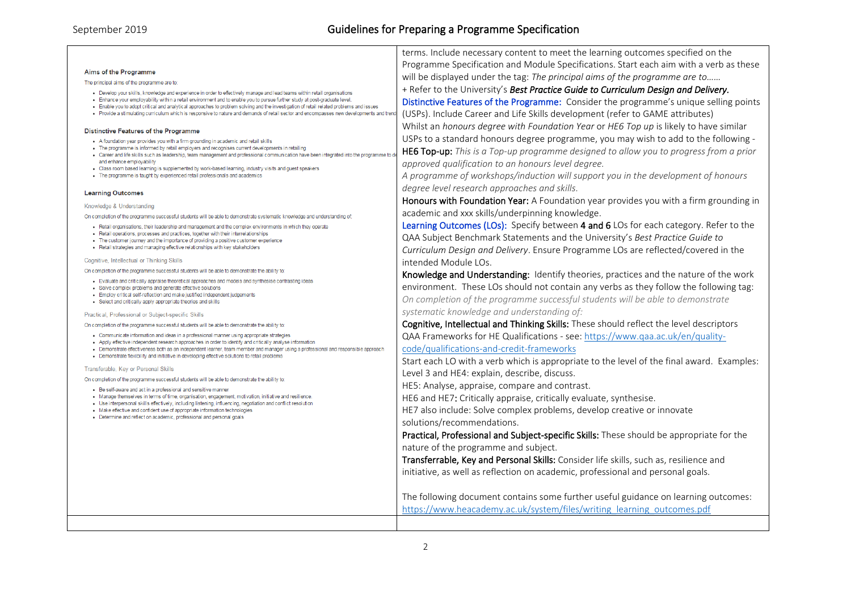| Aims of the Programme |  |  |  |  |
|-----------------------|--|--|--|--|
|-----------------------|--|--|--|--|

The principal aims of the programme are to:

- . Develop your skills, knowledge and experience in order to effectively manage and lead teams within retail organisations
- . Enhance your employability within a retail environment and to enable you to pursue further study at post-graduate level.
- . Enable you to adopt critical and analytical approaches to problem solving and the investigation of retail related problems and issues
- . Provide a stimulating curriculum which is responsive to nature and demands of retail sector and encompasses new developments and trends

#### **Distinctive Features of the Programme**

- . A foundation year provides you with a firm grounding in academic and retail skills
- . The programme is informed by retail employers and recognises current developments in retailing
- . Career and life skills such as leadership, team management and professional communication have been integrated into the programme to and enhance employability
- . Class room based learning is supplemented by work-based learning, industry visits and quest speakers
- . The programme is taught by experienced retail professionals and academics

#### **Learning Outcomes**

Knowledge & Understanding

On completion of the programme successful students will be able to demonstrate systematic knowledge and understanding of:

. Retail organisations, their leadership and management and the complex environments in which they operate

- . Retail operations processes and practices together with their interrelationships
- . The customer journey and the importance of providing a positive customer experience
- . Retail strategies and managing effective relationships with key stakeholders

#### Cognitive, Intellectual or Thinking Skills

On completion of the programme successful students will be able to demonstrate the ability to:

- Evaluate and critically appraise theoretical approaches and models and synthesise contrasting ideas
- Solve complex problems and generate effective solutions
- · Employ critical self-reflection and make justified independent judgements
- Select and critically apply appropriate theories and skills

Practical, Professional or Subject-specific Skills

On completion of the programme successful students will be able to demonstrate the ability to:

- Communicate information and ideas in a professional manner using appropriate strategies
- . Apply effective independent research approaches in order to identify and critically analyse information
- . Demonstrate effectiveness both as an independent learner, team member and manager using a professional and responsible approach . Demonstrate flexibility and initiative in developing effective solutions to retail problems
- 

Transferable, Key or Personal Skills

On completion of the programme successful students will be able to demonstrate the ability to:

- · Be self-aware and act in a professional and sensitive manner
- Manage themselves in terms of time, organisation, engagement, motivation, initiative and resilience.
- . Use interpersonal skills effectively including listening influencing negotiation and conflict resolution Make effective and confident use of appropriate information technologies
- 
- Determine and reflect on academic, professional and personal goals

Programme Specification and Module Specifications. Start each aim with a verb as these will be displayed under the tag: *The principal aims of the programme are to……* + Refer to the University's *Best Practice Guide to Curriculum Design and Delivery.* Distinctive Features of the Programme: Consider the programme's unique selling points

terms. Include necessary content to meet the learning outcomes specified on the

(USPs). Include Career and Life Skills development (refer to GAME attributes) Whilst an *honours degree with Foundation Year* or *HE6 Top up* is likely to have similar USPs to a standard honours degree programme, you may wish to add to the following -

HE6 Top-up: *This is a Top-up programme designed to allow you to progress from a prior approved qualification to an honours level degree.*

*A programme of workshops/induction will support you in the development of honours degree level research approaches and skills.*

Honours with Foundation Year: A Foundation year provides you with a firm grounding in academic and xxx skills/underpinning knowledge.

Learning Outcomes (LOs): Specify between 4 and 6 LOs for each category. Refer to the QAA Subject Benchmark Statements and the University's *Best Practice Guide to Curriculum Design and Delivery*. Ensure Programme LOs are reflected/covered in the intended Module LOs.

Knowledge and Understanding: Identify theories, practices and the nature of the work environment. These LOs should not contain any verbs as they follow the following tag: *On completion of the programme successful students will be able to demonstrate systematic knowledge and understanding of:*

Cognitive, Intellectual and Thinking Skills: These should reflect the level descriptors QAA Frameworks for HE Qualifications - see: [https://www.qaa.ac.uk/en/quality](https://www.qaa.ac.uk/en/quality-code/qualifications-and-credit-frameworks)[code/qualifications-and-credit-frameworks](https://www.qaa.ac.uk/en/quality-code/qualifications-and-credit-frameworks)

Start each LO with a verb which is appropriate to the level of the final award. Examples: Level 3 and HE4: explain, describe, discuss.

HE5: Analyse, appraise, compare and contrast.

HE6 and HE7: Critically appraise, critically evaluate, synthesise.

HE7 also include: Solve complex problems, develop creative or innovate solutions/recommendations.

Practical, Professional and Subject-specific Skills: These should be appropriate for the nature of the programme and subject.

Transferrable, Key and Personal Skills: Consider life skills, such as, resilience and initiative, as well as reflection on academic, professional and personal goals.

The following document contains some further useful guidance on learning outcomes: [https://www.heacademy.ac.uk/system/files/writing\\_learning\\_outcomes.pdf](https://www.heacademy.ac.uk/system/files/writing_learning_outcomes.pdf)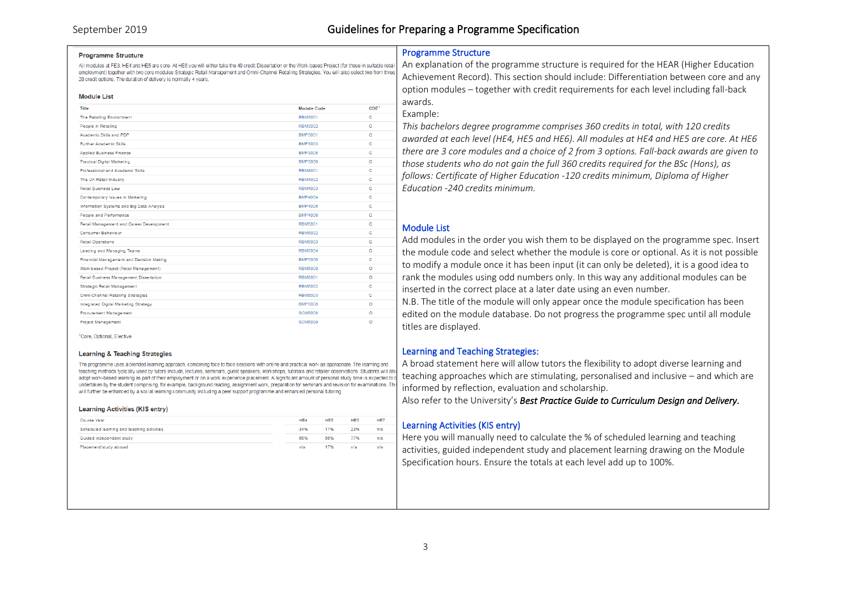#### **Programme Structure**

All modules at FE3, HE4 and HE5 are core. At HE6 you will either take the 40 credit Dissertation or the Work-based Project (for those in suitable retail employment) together with two core modules Strategic Retail Management and Omni-Channel Retailing Strategies, You will also select two from three 20 credit options. The duration of delivery is normally 4 years.

#### **Module List**

| Title                                     | Module Code    | COE <sup>1</sup> |
|-------------------------------------------|----------------|------------------|
| The Retailing Environment                 | RBM3001        | с                |
| People in Retailing                       | RBM3002        | c                |
| Academic Skills and PDP                   | BMP3001        | c                |
| <b>Further Academic Skills</b>            | BMP3003        | c                |
| <b>Applied Business Finance</b>           | BMP3005        | c                |
| <b>Practical Digital Marketing</b>        | BMP3006        | c                |
| Professional and Academic Skills          | RBM4001        | c                |
| The UK Retail Industry                    | <b>RBM4002</b> | c                |
| Retail Business Law                       | <b>RBM4003</b> | c                |
| Contemporary Issues in Marketing          | <b>BMP4004</b> | c                |
| Information Systems and Big Data Analysis | <b>BMP4005</b> | c                |
| People and Performance                    | BMP4006        | с                |
| Retail Management and Career Development  | <b>RBM5001</b> | c                |
| Consumer Rehaviour                        | <b>RBM5002</b> | c                |
| <b>Retail Operations</b>                  | <b>RBM5003</b> | с                |
| Leading and Managing Teams                | <b>RBM5004</b> | c                |
| Financial Management and Decision Making  | <b>BMP5006</b> | с                |
| Work-based Project (Retail Management)    | <b>RBM6000</b> | Ō                |
| Retail Business Management Dissertation   | <b>RBM6001</b> | Ō                |
| Strategic Retail Management               | <b>RBM6002</b> | c                |
| Omni-Channel Retailing Strategies         | <b>RBM6003</b> | c                |
| Integrated Digital Marketing Strategy     | <b>BMP6008</b> | Ō                |
| Procurement Management                    | <b>SCM6008</b> | Ō                |
| <b>Project Management</b>                 | <b>SCM6009</b> | $\circ$          |

1Core Ontional Flective

#### **Learning & Teaching Strategies**

The programme uses a blended learning approach, combining face to face sessions with online and practical work as appropriate. The learning and teaching methods typically used by tutors include, lectures, seminars, guest speakers, workshops, tutorials and retailer observations. Students will also undertaken by the student comprising, for example, background reading, assignment work, preparation for seminars and revision for examinations. This will further be enhanced by a social learning community including a peer support programme and enhanced personal tutoring

#### **Learning Activities (KIS entry)**

| Course Year                                | HE <sub>4</sub> | HE <sub>5</sub> | HE6 | HE7 |
|--------------------------------------------|-----------------|-----------------|-----|-----|
| Scheduled learning and teaching activities | 34%             | 17%             | 23% | n/a |
| Guided independant study                   | 66%             | 66%             | 77% | n/s |
| Placement/study abroad                     | n/a             | 17%             | n/a | n/a |
|                                            |                 |                 |     |     |

# Programme Structure

An explanation of the programme structure is required for the HEAR (Higher Education Achievement Record). This section should include: Differentiation between core and any option modules – together with credit requirements for each level including fall-back awards.

### Example:

*This bachelors degree programme comprises 360 credits in total, with 120 credits awarded at each level (HE4, HE5 and HE6). All modules at HE4 and HE5 are core. At HE6 there are 3 core modules and a choice of 2 from 3 options. Fall-back awards are given to those students who do not gain the full 360 credits required for the BSc (Hons), as follows: Certificate of Higher Education -120 credits minimum, Diploma of Higher Education -240 credits minimum.*

# Module List

Add modules in the order you wish them to be displayed on the programme spec. Insert the module code and select whether the module is core or optional. As it is not possible to modify a module once it has been input (it can only be deleted), it is a good idea to rank the modules using odd numbers only. In this way any additional modules can be inserted in the correct place at a later date using an even number.

N.B. The title of the module will only appear once the module specification has been edited on the module database. Do not progress the programme spec until all module titles are displayed.

## Learning and Teaching Strategies:

A broad statement here will allow tutors the flexibility to adopt diverse learning and estering methods which are stimulated by the stimulation ment or on a work experience placement A significant amount of personal study time is expected to by the are stimulating, personalised, personalised and inclusive – informed by reflection, evaluation and scholarship.

Also refer to the University's *Best Practice Guide to Curriculum Design and Delivery.*

## Learning Activities (KIS entry)

Here you will manually need to calculate the % of scheduled learning and teaching activities, guided independent study and placement learning drawing on the Module Specification hours. Ensure the totals at each level add up to 100%.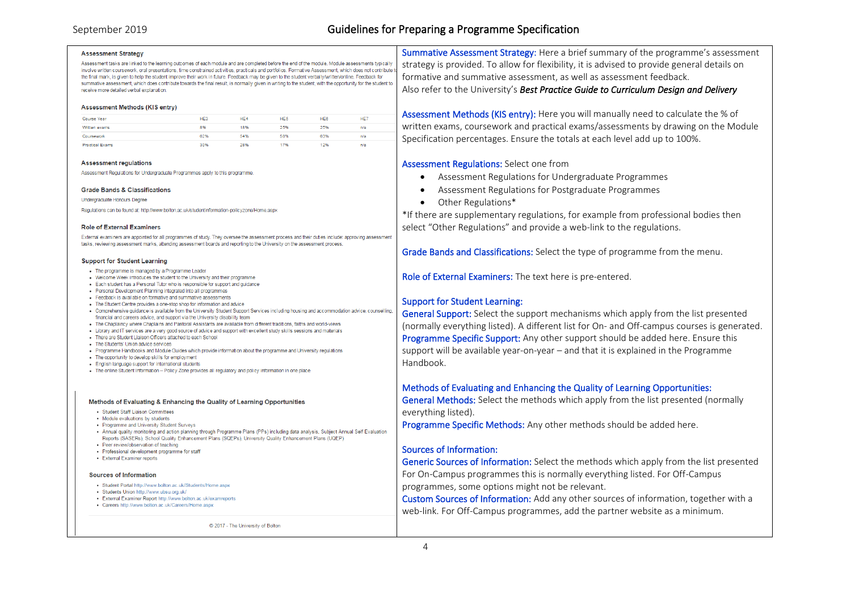# September 2019 Guidelines for Preparing a Programme Specification

#### **Assessment Strategy**

Assessment tasks are linked to the learning outcomes of each module and are completed before the end of the module. Module assessments typically involve written coursework, oral presentations, time constrained activities, practicals and portfolios. Formative Assessment, which does not contribute to the final mark, is given to help the student improve their work in future. Feedback may be given to the student verbally/written/online. Feedback for summative assessment, which does contribute towards the final result, is normally given in writing to the student, with the opportunity for the student to receive more detailed verhal explanation

#### Assessment Methods (KIS entry)

| Course Year            | HE <sub>3</sub> | HE <sub>4</sub> | HE <sub>5</sub> | HE <sub>6</sub> | HE7 |
|------------------------|-----------------|-----------------|-----------------|-----------------|-----|
| Written exams          | 8%              | 18%             | 25%             | 25%             | n/a |
| Coursework             | 62%             | 54%             | 58%             | 63%             | n/s |
| <b>Practical Exams</b> | 30%             | 28%             | 17%             | 12%             | n/s |

#### **Assessment regulations**

Assessment Regulations for Undergraduate Programmes apply to this programme.

#### **Grade Bands & Classifications**

Undergraduate Honours Degree

Regulations can be found at: http://www.bolton.ac.uk/studentinformation-policyzone/Home aspx

#### **Role of External Examiners**

External examiners are appointed for all programmes of study. They oversee the assessment process and their duties include: approving assessment tasks, reviewing assessment marks, attending assessment boards and reporting to the University on the assessment process

#### **Support for Student Learning**

- . The programme is managed by a Programme Leader
- . Welcome Week introduces the student to the University and their programme
- Each student has a Personal Tutor who is responsible for support and quidance
- · Personal Development Planning integrated into all programmes
- Feedback is available on formative and summative assessments
- . The Student Centre provides a one-stop shop for information and advice
- . Comprehensive quidance is available from the University Student Support Services including housing and accommodation advice, counsellir financial and careers advice, and support via the University disability team
- . The Chaplaincy where Chaplains and Pastoral Assistants are available from different traditions, faiths and world-views
- · Library and IT services are a very good source of advice and support with excellent study skills sessions and materials
- . There are Student Liaison Officers attached to each School
- . The Students' Linion advice services
- . Programme Handbooks and Module Guides which provide information about the programme and University regulations
- . The opportunity to develop skills for employment
- . English language support for international students . The online Student Information - Policy Zone provides all regulatory and policy information in one place

#### Methods of Evaluating & Enhancing the Quality of Learning Opportunities

- · Student Staff Liaison Committees
- Module evaluations by students
- · Programme and University Student Surveys
- . Annual quality monitoring and action planning through Programme Plans (PPs) including data analysis, Subject Annual Self Evaluation Reports (SASERs), School Quality Enhancement Plans (SQEPs), University Quality Enhancement Plans (UQEP)
- · Peer review/observation of teaching
- · Professional development programme for staff
- . External Examiner reports

#### **Sources of Information**

- · Student Portal http://www.bolton.ac.uk/Students/Home.aspx
- · Students Union http://www.ubsu.org.uk/
- . External Examiner Report http://www.bolton.ac.uk/examreports
- · Careers http://www.bolton.ac.uk/Careers/Home.aspx

C 2017 - The University of Bolton

Summative Assessment Strategy: Here a brief summary of the programme's assessment strategy is provided. To allow for flexibility, it is advised to provide general details on formative and summative assessment, as well as assessment feedback. Also refer to the University's *Best Practice Guide to Curriculum Design and Delivery* 

Assessment Methods (KIS entry): Here you will manually need to calculate the % of written exams, coursework and practical exams/assessments by drawing on the Module Specification percentages. Ensure the totals at each level add up to 100%.

## Assessment Regulations: Select one from

- Assessment Regulations for Undergraduate Programmes
- Assessment Regulations for Postgraduate Programmes
- Other Regulations\*

\*If there are supplementary regulations, for example from professional bodies then select "Other Regulations" and provide a web-link to the regulations.

Grade Bands and Classifications: Select the type of programme from the menu.

Role of External Examiners: The text here is pre-entered.

# Support for Student Learning:

General Support: Select the support mechanisms which apply from the list presented (normally everything listed). A different list for On- and Off-campus courses is generated. Programme Specific Support: Any other support should be added here. Ensure this support will be available year-on-year – and that it is explained in the Programme Handbook.

# Methods of Evaluating and Enhancing the Quality of Learning Opportunities:

General Methods: Select the methods which apply from the list presented (normally everything listed).

Programme Specific Methods: Any other methods should be added here.

## Sources of Information:

Generic Sources of Information: Select the methods which apply from the list presented For On-Campus programmes this is normally everything listed. For Off-Campus programmes, some options might not be relevant.

Custom Sources of Information: Add any other sources of information, together with a web-link. For Off-Campus programmes, add the partner website as a minimum.